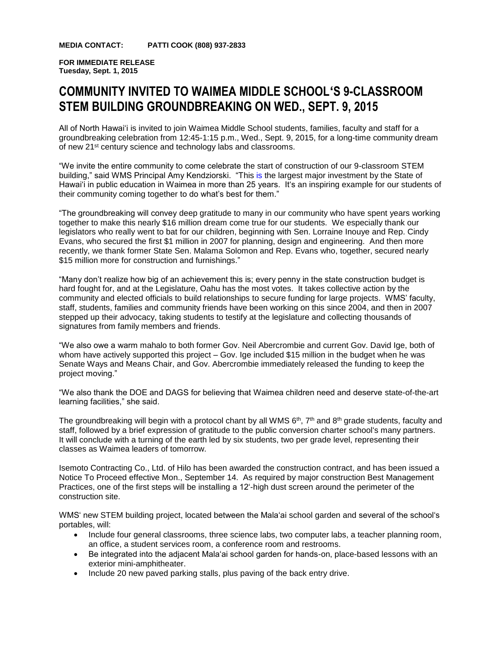**MEDIA CONTACT: PATTI COOK (808) 937-2833**

**FOR IMMEDIATE RELEASE Tuesday, Sept. 1, 2015**

## **COMMUNITY INVITED TO WAIMEA MIDDLE SCHOOLʻS 9-CLASSROOM STEM BUILDING GROUNDBREAKING ON WED., SEPT. 9, 2015**

All of North Hawaiʻi is invited to join Waimea Middle School students, families, faculty and staff for a groundbreaking celebration from 12:45-1:15 p.m., Wed., Sept. 9, 2015, for a long-time community dream of new 21st century science and technology labs and classrooms.

"We invite the entire community to come celebrate the start of construction of our 9-classroom STEM building," said WMS Principal Amy Kendziorski. "This is the largest major investment by the State of Hawaiʻi in public education in Waimea in more than 25 years. Itʻs an inspiring example for our students of their community coming together to do what's best for them."

"The groundbreaking will convey deep gratitude to many in our community who have spent years working together to make this nearly \$16 million dream come true for our students. We especially thank our legislators who really went to bat for our children, beginning with Sen. Lorraine Inouye and Rep. Cindy Evans, who secured the first \$1 million in 2007 for planning, design and engineering. And then more recently, we thank former State Sen. Malama Solomon and Rep. Evans who, together, secured nearly \$15 million more for construction and furnishings."

"Many don't realize how big of an achievement this is; every penny in the state construction budget is hard fought for, and at the Legislature, Oahu has the most votes. It takes collective action by the community and elected officials to build relationships to secure funding for large projects. WMS' faculty, staff, students, families and community friends have been working on this since 2004, and then in 2007 stepped up their advocacy, taking students to testify at the legislature and collecting thousands of signatures from family members and friends.

"We also owe a warm mahalo to both former Gov. Neil Abercrombie and current Gov. David Ige, both of whom have actively supported this project – Gov. Ige included \$15 million in the budget when he was Senate Ways and Means Chair, and Gov. Abercrombie immediately released the funding to keep the project moving."

"We also thank the DOE and DAGS for believing that Waimea children need and deserve state-of-the-art learning facilities," she said.

The groundbreaking will begin with a protocol chant by all WMS  $6<sup>th</sup>$ , 7<sup>th</sup> and  $8<sup>th</sup>$  grade students, faculty and staff, followed by a brief expression of gratitude to the public conversion charter schoolʻs many partners. It will conclude with a turning of the earth led by six students, two per grade level, representing their classes as Waimea leaders of tomorrow.

Isemoto Contracting Co., Ltd. of Hilo has been awarded the construction contract, and has been issued a Notice To Proceed effective Mon., September 14. As required by major construction Best Management Practices, one of the first steps will be installing a 12ʻ-high dust screen around the perimeter of the construction site.

WMS' new STEM building project, located between the Mala'ai school garden and several of the school's portables, will:

- Include four general classrooms, three science labs, two computer labs, a teacher planning room, an office, a student services room, a conference room and restrooms.
- Be integrated into the adjacent Mala'ai school garden for hands-on, place-based lessons with an exterior mini-amphitheater.
- Include 20 new paved parking stalls, plus paving of the back entry drive.